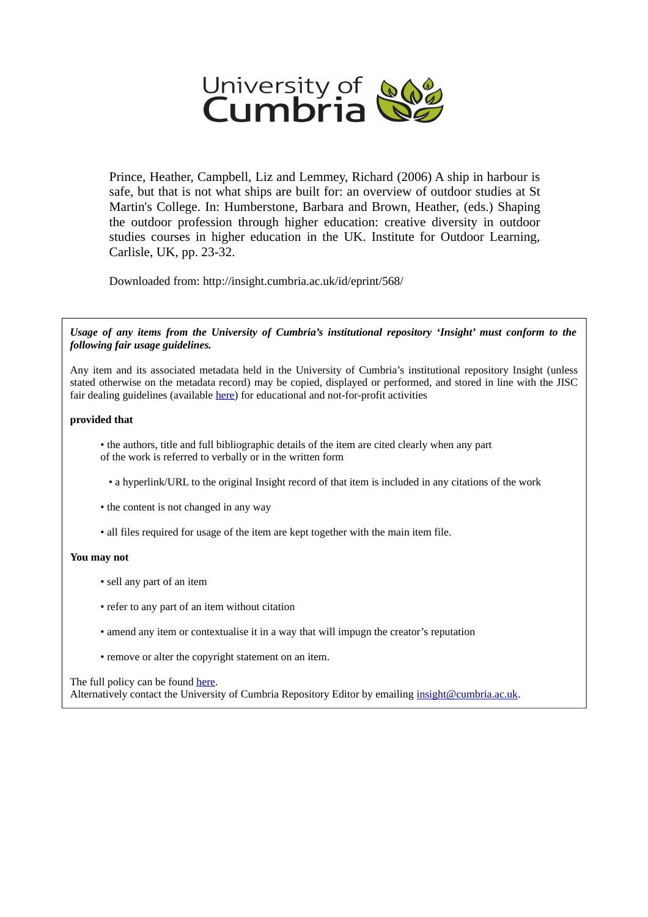

Prince, Heather, Campbell, Liz and Lemmey, Richard (2006) A ship in harbour is safe, but that is not what ships are built for: an overview of outdoor studies at St Martin's College. In: Humberstone, Barbara and Brown, Heather, (eds.) Shaping the outdoor profession through higher education: creative diversity in outdoor studies courses in higher education in the UK. Institute for Outdoor Learning, Carlisle, UK, pp. 23-32.

Downloaded from: http://insight.cumbria.ac.uk/id/eprint/568/

*Usage of any items from the University of Cumbria's institutional repository 'Insight' must conform to the following fair usage guidelines.*

Any item and its associated metadata held in the University of Cumbria's institutional repository Insight (unless stated otherwise on the metadata record) may be copied, displayed or performed, and stored in line with the JISC fair dealing guidelines (available [here\)](http://www.ukoln.ac.uk/services/elib/papers/pa/fair/) for educational and not-for-profit activities

### **provided that**

• the authors, title and full bibliographic details of the item are cited clearly when any part of the work is referred to verbally or in the written form

• a hyperlink/URL to the original Insight record of that item is included in any citations of the work

• the content is not changed in any way

• all files required for usage of the item are kept together with the main item file.

## **You may not**

- sell any part of an item
- refer to any part of an item without citation
- amend any item or contextualise it in a way that will impugn the creator's reputation
- remove or alter the copyright statement on an item.

The full policy can be found [here.](http://insight.cumbria.ac.uk/legal.html#section5) Alternatively contact the University of Cumbria Repository Editor by emailing [insight@cumbria.ac.uk.](mailto:insight@cumbria.ac.uk)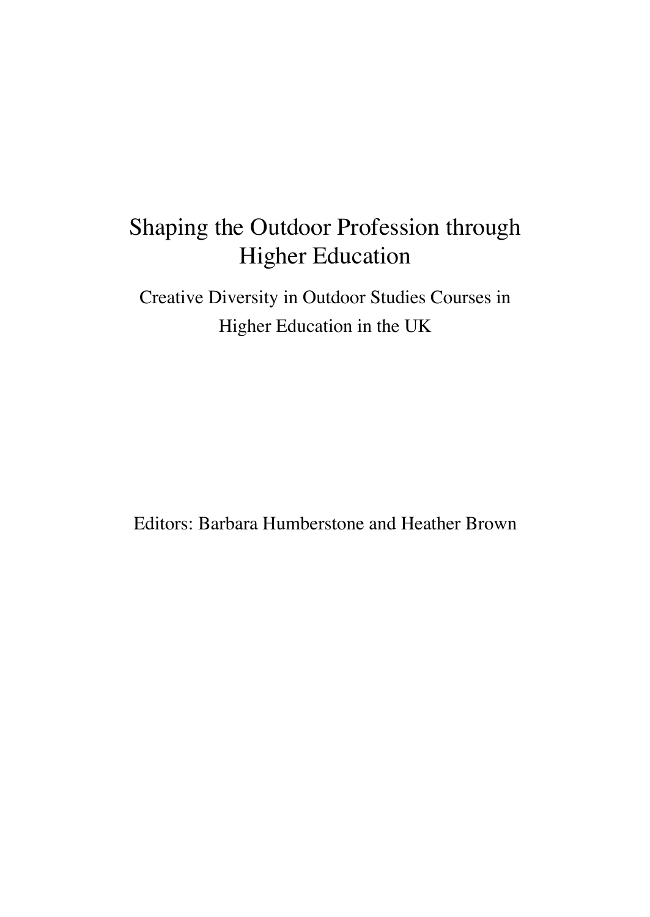# Shaping the Outdoor Profession through Higher Education

Creative Diversity in Outdoor Studies Courses in Higher Education in the UK

Editors: Barbara Humberstone and Heather Brown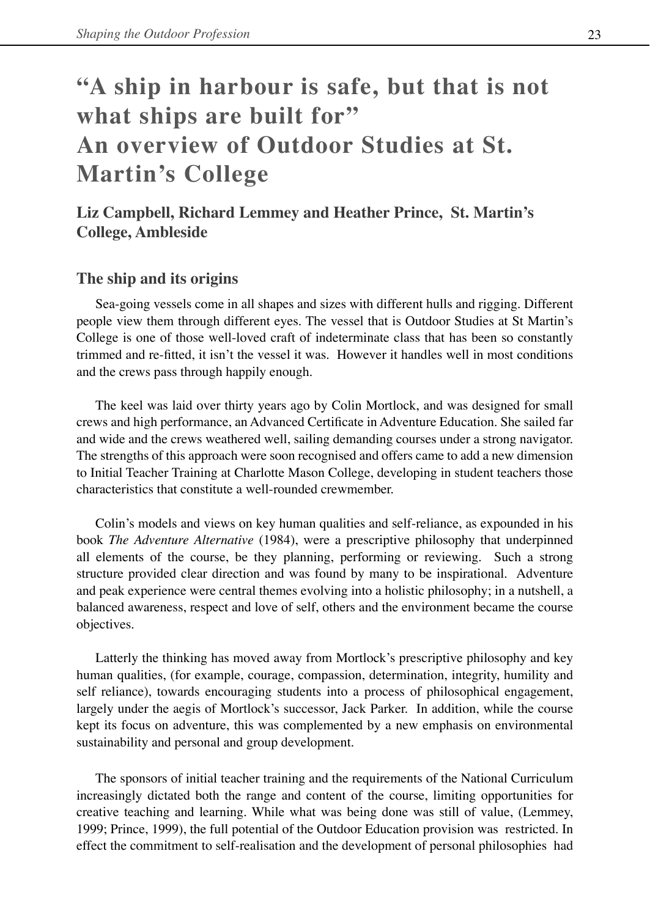# **"A ship in harbour is safe, but that is not what ships are built for" An overview of Outdoor Studies at St. Martin's College**

# **Liz Campbell, Richard Lemmey and Heather Prince, St. Martin's College, Ambleside**

# **The ship and its origins**

Sea-going vessels come in all shapes and sizes with different hulls and rigging. Different people view them through different eyes. The vessel that is Outdoor Studies at St Martin's College is one of those well-loved craft of indeterminate class that has been so constantly trimmed and re-fitted, it isn't the vessel it was. However it handles well in most conditions and the crews pass through happily enough.

The keel was laid over thirty years ago by Colin Mortlock, and was designed for small crews and high performance, an Advanced Certificate in Adventure Education. She sailed far and wide and the crews weathered well, sailing demanding courses under a strong navigator. The strengths of this approach were soon recognised and offers came to add a new dimension to Initial Teacher Training at Charlotte Mason College, developing in student teachers those characteristics that constitute a well-rounded crewmember.

Colin's models and views on key human qualities and self-reliance, as expounded in his book *The Adventure Alternative* (1984), were a prescriptive philosophy that underpinned all elements of the course, be they planning, performing or reviewing. Such a strong structure provided clear direction and was found by many to be inspirational. Adventure and peak experience were central themes evolving into a holistic philosophy; in a nutshell, a balanced awareness, respect and love of self, others and the environment became the course objectives.

Latterly the thinking has moved away from Mortlock's prescriptive philosophy and key human qualities, (for example, courage, compassion, determination, integrity, humility and self reliance), towards encouraging students into a process of philosophical engagement, largely under the aegis of Mortlock's successor, Jack Parker. In addition, while the course kept its focus on adventure, this was complemented by a new emphasis on environmental sustainability and personal and group development.

The sponsors of initial teacher training and the requirements of the National Curriculum increasingly dictated both the range and content of the course, limiting opportunities for creative teaching and learning. While what was being done was still of value, (Lemmey, 1999; Prince, 1999), the full potential of the Outdoor Education provision was restricted. In effect the commitment to self-realisation and the development of personal philosophies had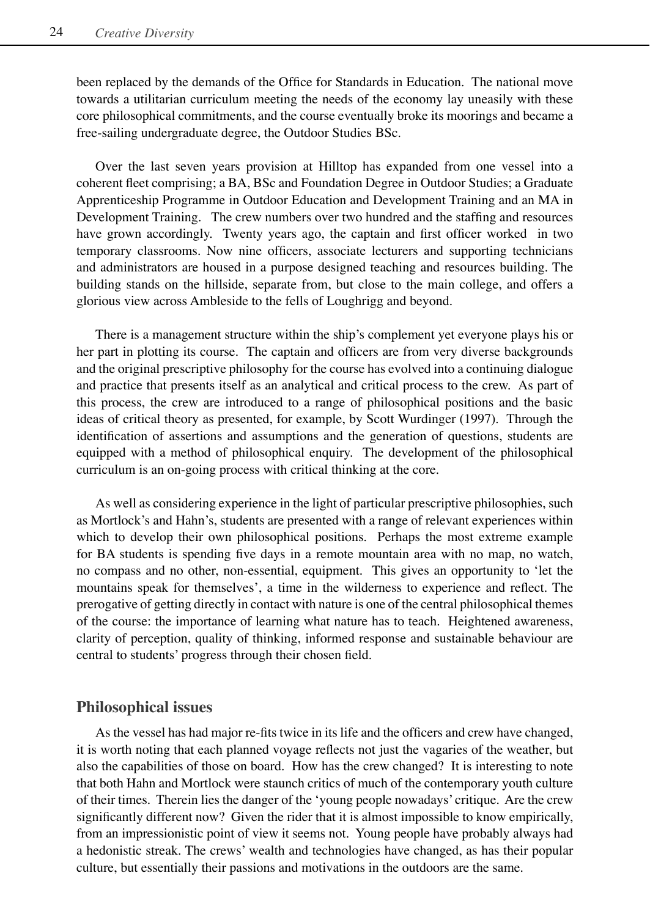been replaced by the demands of the Office for Standards in Education. The national move towards a utilitarian curriculum meeting the needs of the economy lay uneasily with these core philosophical commitments, and the course eventually broke its moorings and became a free-sailing undergraduate degree, the Outdoor Studies BSc.

Over the last seven years provision at Hilltop has expanded from one vessel into a coherent fleet comprising; a BA, BSc and Foundation Degree in Outdoor Studies; a Graduate Apprenticeship Programme in Outdoor Education and Development Training and an MA in Development Training. The crew numbers over two hundred and the staffing and resources have grown accordingly. Twenty years ago, the captain and first officer worked in two temporary classrooms. Now nine officers, associate lecturers and supporting technicians and administrators are housed in a purpose designed teaching and resources building. The building stands on the hillside, separate from, but close to the main college, and offers a glorious view across Ambleside to the fells of Loughrigg and beyond.

There is a management structure within the ship's complement yet everyone plays his or her part in plotting its course. The captain and officers are from very diverse backgrounds and the original prescriptive philosophy for the course has evolved into a continuing dialogue and practice that presents itself as an analytical and critical process to the crew. As part of this process, the crew are introduced to a range of philosophical positions and the basic ideas of critical theory as presented, for example, by Scott Wurdinger (1997). Through the identification of assertions and assumptions and the generation of questions, students are equipped with a method of philosophical enquiry. The development of the philosophical curriculum is an on-going process with critical thinking at the core.

As well as considering experience in the light of particular prescriptive philosophies, such as Mortlock's and Hahn's, students are presented with a range of relevant experiences within which to develop their own philosophical positions. Perhaps the most extreme example for BA students is spending five days in a remote mountain area with no map, no watch, no compass and no other, non-essential, equipment. This gives an opportunity to ʻlet the mountains speak for themselves', a time in the wilderness to experience and reflect. The prerogative of getting directly in contact with nature is one of the central philosophical themes of the course: the importance of learning what nature has to teach. Heightened awareness, clarity of perception, quality of thinking, informed response and sustainable behaviour are central to students' progress through their chosen field.

#### **Philosophical issues**

As the vessel has had major re-fits twice in its life and the officers and crew have changed, it is worth noting that each planned voyage reflects not just the vagaries of the weather, but also the capabilities of those on board. How has the crew changed? It is interesting to note that both Hahn and Mortlock were staunch critics of much of the contemporary youth culture of their times. Therein lies the danger of the ʻyoung people nowadays' critique. Are the crew significantly different now? Given the rider that it is almost impossible to know empirically, from an impressionistic point of view it seems not. Young people have probably always had a hedonistic streak. The crews' wealth and technologies have changed, as has their popular culture, but essentially their passions and motivations in the outdoors are the same.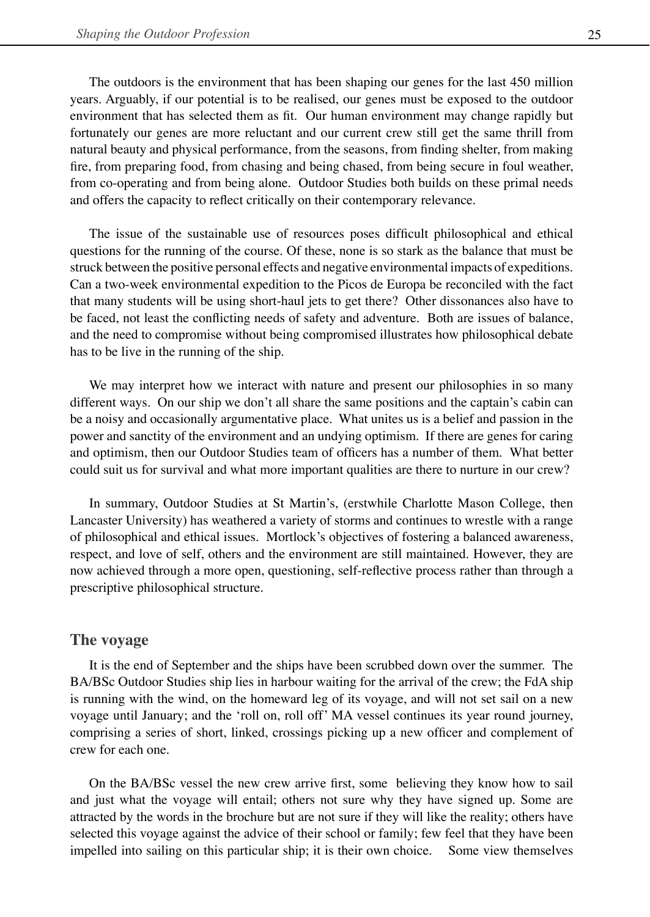The outdoors is the environment that has been shaping our genes for the last 450 million years. Arguably, if our potential is to be realised, our genes must be exposed to the outdoor environment that has selected them as fit. Our human environment may change rapidly but fortunately our genes are more reluctant and our current crew still get the same thrill from natural beauty and physical performance, from the seasons, from finding shelter, from making fire, from preparing food, from chasing and being chased, from being secure in foul weather, from co-operating and from being alone. Outdoor Studies both builds on these primal needs and offers the capacity to reflect critically on their contemporary relevance.

The issue of the sustainable use of resources poses difficult philosophical and ethical questions for the running of the course. Of these, none is so stark as the balance that must be struck between the positive personal effects and negative environmental impacts of expeditions. Can a two-week environmental expedition to the Picos de Europa be reconciled with the fact that many students will be using short-haul jets to get there? Other dissonances also have to be faced, not least the conflicting needs of safety and adventure. Both are issues of balance, and the need to compromise without being compromised illustrates how philosophical debate has to be live in the running of the ship.

We may interpret how we interact with nature and present our philosophies in so many different ways. On our ship we don't all share the same positions and the captain's cabin can be a noisy and occasionally argumentative place. What unites us is a belief and passion in the power and sanctity of the environment and an undying optimism. If there are genes for caring and optimism, then our Outdoor Studies team of officers has a number of them. What better could suit us for survival and what more important qualities are there to nurture in our crew?

In summary, Outdoor Studies at St Martin's, (erstwhile Charlotte Mason College, then Lancaster University) has weathered a variety of storms and continues to wrestle with a range of philosophical and ethical issues. Mortlock's objectives of fostering a balanced awareness, respect, and love of self, others and the environment are still maintained. However, they are now achieved through a more open, questioning, self-reflective process rather than through a prescriptive philosophical structure.

## **The voyage**

It is the end of September and the ships have been scrubbed down over the summer. The BA/BSc Outdoor Studies ship lies in harbour waiting for the arrival of the crew; the FdA ship is running with the wind, on the homeward leg of its voyage, and will not set sail on a new voyage until January; and the ʻroll on, roll off' MA vessel continues its year round journey, comprising a series of short, linked, crossings picking up a new officer and complement of crew for each one.

On the BA/BSc vessel the new crew arrive first, some believing they know how to sail and just what the voyage will entail; others not sure why they have signed up. Some are attracted by the words in the brochure but are not sure if they will like the reality; others have selected this voyage against the advice of their school or family; few feel that they have been impelled into sailing on this particular ship; it is their own choice. Some view themselves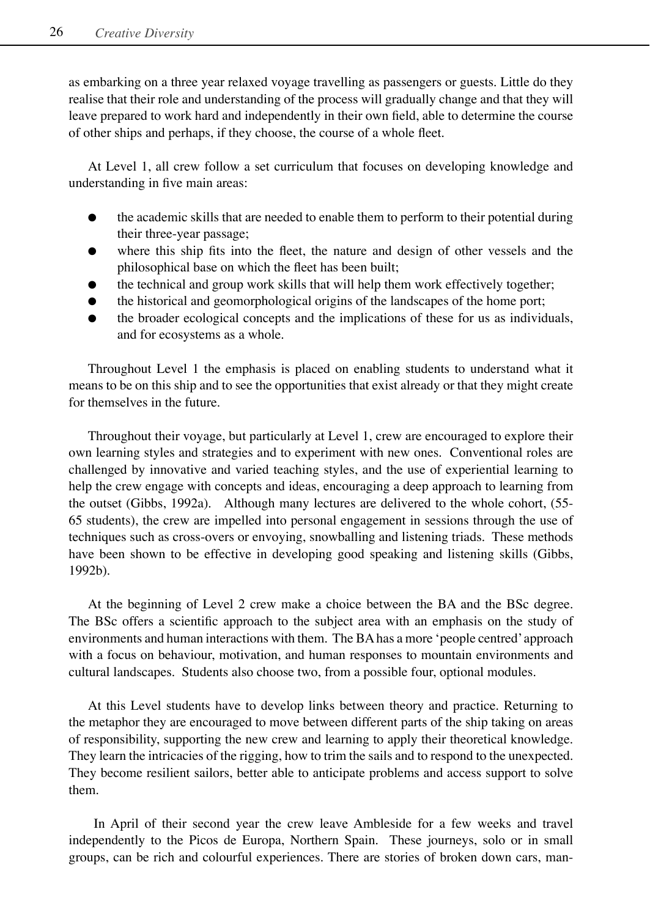as embarking on a three year relaxed voyage travelling as passengers or guests. Little do they realise that their role and understanding of the process will gradually change and that they will leave prepared to work hard and independently in their own field, able to determine the course of other ships and perhaps, if they choose, the course of a whole fleet.

At Level 1, all crew follow a set curriculum that focuses on developing knowledge and understanding in five main areas:

- the academic skills that are needed to enable them to perform to their potential during their three-year passage;
- where this ship fits into the fleet, the nature and design of other vessels and the philosophical base on which the fleet has been built;
- the technical and group work skills that will help them work effectively together;
- the historical and geomorphological origins of the landscapes of the home port;
- the broader ecological concepts and the implications of these for us as individuals, and for ecosystems as a whole.

Throughout Level 1 the emphasis is placed on enabling students to understand what it means to be on this ship and to see the opportunities that exist already or that they might create for themselves in the future.

Throughout their voyage, but particularly at Level 1, crew are encouraged to explore their own learning styles and strategies and to experiment with new ones. Conventional roles are challenged by innovative and varied teaching styles, and the use of experiential learning to help the crew engage with concepts and ideas, encouraging a deep approach to learning from the outset (Gibbs, 1992a). Although many lectures are delivered to the whole cohort, (55- 65 students), the crew are impelled into personal engagement in sessions through the use of techniques such as cross-overs or envoying, snowballing and listening triads. These methods have been shown to be effective in developing good speaking and listening skills (Gibbs, 1992b).

At the beginning of Level 2 crew make a choice between the BA and the BSc degree. The BSc offers a scientific approach to the subject area with an emphasis on the study of environments and human interactions with them. The BA has a more ʻpeople centred' approach with a focus on behaviour, motivation, and human responses to mountain environments and cultural landscapes. Students also choose two, from a possible four, optional modules.

At this Level students have to develop links between theory and practice. Returning to the metaphor they are encouraged to move between different parts of the ship taking on areas of responsibility, supporting the new crew and learning to apply their theoretical knowledge. They learn the intricacies of the rigging, how to trim the sails and to respond to the unexpected. They become resilient sailors, better able to anticipate problems and access support to solve them.

 In April of their second year the crew leave Ambleside for a few weeks and travel independently to the Picos de Europa, Northern Spain. These journeys, solo or in small groups, can be rich and colourful experiences. There are stories of broken down cars, man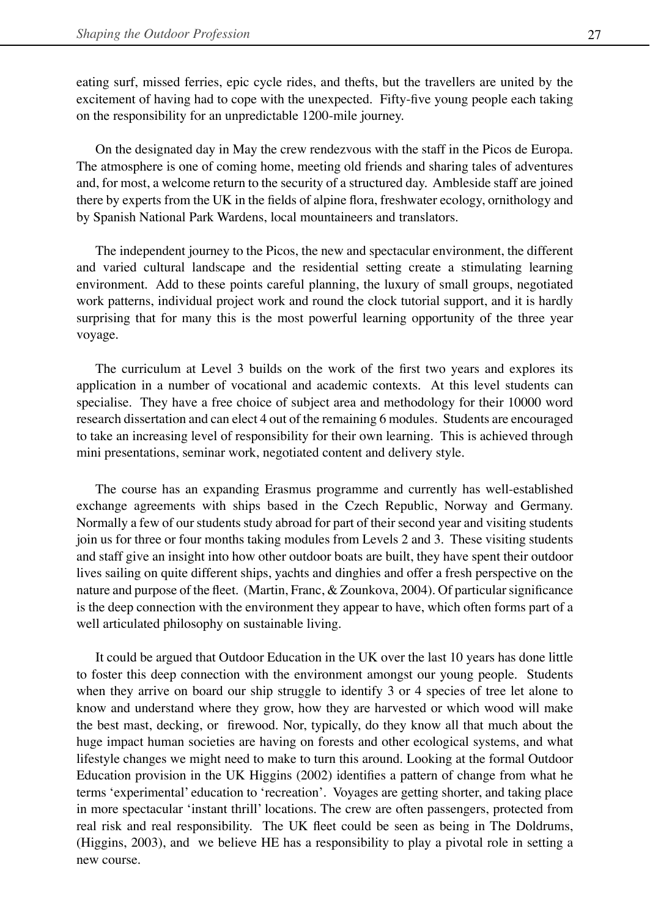eating surf, missed ferries, epic cycle rides, and thefts, but the travellers are united by the excitement of having had to cope with the unexpected. Fifty-five young people each taking on the responsibility for an unpredictable 1200-mile journey.

On the designated day in May the crew rendezvous with the staff in the Picos de Europa. The atmosphere is one of coming home, meeting old friends and sharing tales of adventures and, for most, a welcome return to the security of a structured day. Ambleside staff are joined there by experts from the UK in the fields of alpine flora, freshwater ecology, ornithology and by Spanish National Park Wardens, local mountaineers and translators.

The independent journey to the Picos, the new and spectacular environment, the different and varied cultural landscape and the residential setting create a stimulating learning environment. Add to these points careful planning, the luxury of small groups, negotiated work patterns, individual project work and round the clock tutorial support, and it is hardly surprising that for many this is the most powerful learning opportunity of the three year voyage.

The curriculum at Level 3 builds on the work of the first two years and explores its application in a number of vocational and academic contexts. At this level students can specialise. They have a free choice of subject area and methodology for their 10000 word research dissertation and can elect 4 out of the remaining 6 modules. Students are encouraged to take an increasing level of responsibility for their own learning. This is achieved through mini presentations, seminar work, negotiated content and delivery style.

The course has an expanding Erasmus programme and currently has well-established exchange agreements with ships based in the Czech Republic, Norway and Germany. Normally a few of our students study abroad for part of their second year and visiting students join us for three or four months taking modules from Levels 2 and 3. These visiting students and staff give an insight into how other outdoor boats are built, they have spent their outdoor lives sailing on quite different ships, yachts and dinghies and offer a fresh perspective on the nature and purpose of the fleet. (Martin, Franc, & Zounkova, 2004). Of particular significance is the deep connection with the environment they appear to have, which often forms part of a well articulated philosophy on sustainable living.

It could be argued that Outdoor Education in the UK over the last 10 years has done little to foster this deep connection with the environment amongst our young people. Students when they arrive on board our ship struggle to identify 3 or 4 species of tree let alone to know and understand where they grow, how they are harvested or which wood will make the best mast, decking, or firewood. Nor, typically, do they know all that much about the huge impact human societies are having on forests and other ecological systems, and what lifestyle changes we might need to make to turn this around. Looking at the formal Outdoor Education provision in the UK Higgins (2002) identifies a pattern of change from what he terms ʻexperimental' education to ʻrecreation'. Voyages are getting shorter, and taking place in more spectacular ʻinstant thrill' locations. The crew are often passengers, protected from real risk and real responsibility. The UK fleet could be seen as being in The Doldrums, (Higgins, 2003), and we believe HE has a responsibility to play a pivotal role in setting a new course.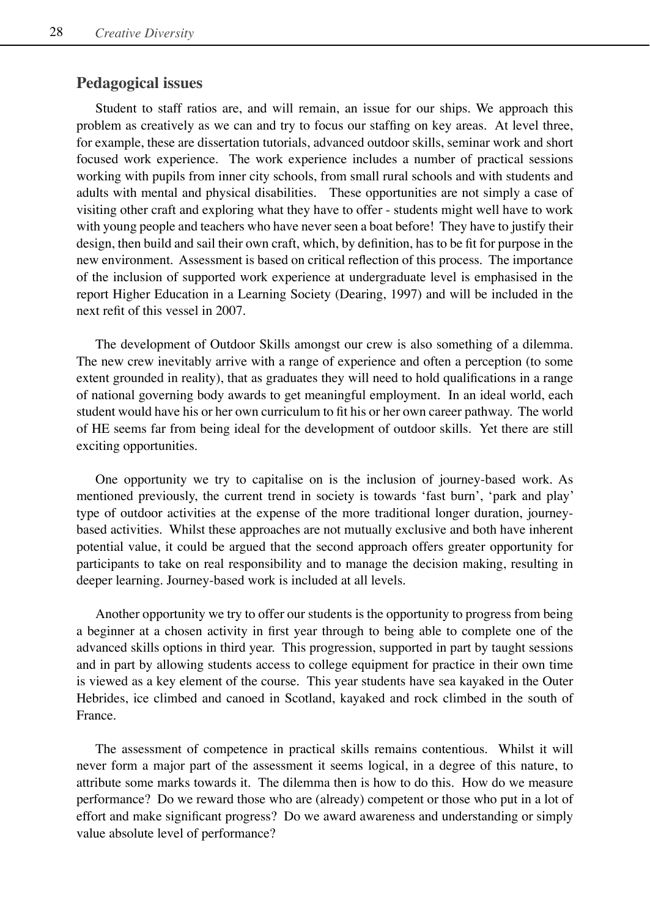# **Pedagogical issues**

Student to staff ratios are, and will remain, an issue for our ships. We approach this problem as creatively as we can and try to focus our staffing on key areas. At level three, for example, these are dissertation tutorials, advanced outdoor skills, seminar work and short focused work experience. The work experience includes a number of practical sessions working with pupils from inner city schools, from small rural schools and with students and adults with mental and physical disabilities. These opportunities are not simply a case of visiting other craft and exploring what they have to offer - students might well have to work with young people and teachers who have never seen a boat before! They have to justify their design, then build and sail their own craft, which, by definition, has to be fit for purpose in the new environment. Assessment is based on critical reflection of this process. The importance of the inclusion of supported work experience at undergraduate level is emphasised in the report Higher Education in a Learning Society (Dearing, 1997) and will be included in the next refit of this vessel in 2007.

The development of Outdoor Skills amongst our crew is also something of a dilemma. The new crew inevitably arrive with a range of experience and often a perception (to some extent grounded in reality), that as graduates they will need to hold qualifications in a range of national governing body awards to get meaningful employment. In an ideal world, each student would have his or her own curriculum to fit his or her own career pathway. The world of HE seems far from being ideal for the development of outdoor skills. Yet there are still exciting opportunities.

One opportunity we try to capitalise on is the inclusion of journey-based work. As mentioned previously, the current trend in society is towards ʻfast burn', ʻpark and play' type of outdoor activities at the expense of the more traditional longer duration, journeybased activities. Whilst these approaches are not mutually exclusive and both have inherent potential value, it could be argued that the second approach offers greater opportunity for participants to take on real responsibility and to manage the decision making, resulting in deeper learning. Journey-based work is included at all levels.

Another opportunity we try to offer our students is the opportunity to progress from being a beginner at a chosen activity in first year through to being able to complete one of the advanced skills options in third year. This progression, supported in part by taught sessions and in part by allowing students access to college equipment for practice in their own time is viewed as a key element of the course. This year students have sea kayaked in the Outer Hebrides, ice climbed and canoed in Scotland, kayaked and rock climbed in the south of France.

The assessment of competence in practical skills remains contentious. Whilst it will never form a major part of the assessment it seems logical, in a degree of this nature, to attribute some marks towards it. The dilemma then is how to do this. How do we measure performance? Do we reward those who are (already) competent or those who put in a lot of effort and make significant progress? Do we award awareness and understanding or simply value absolute level of performance?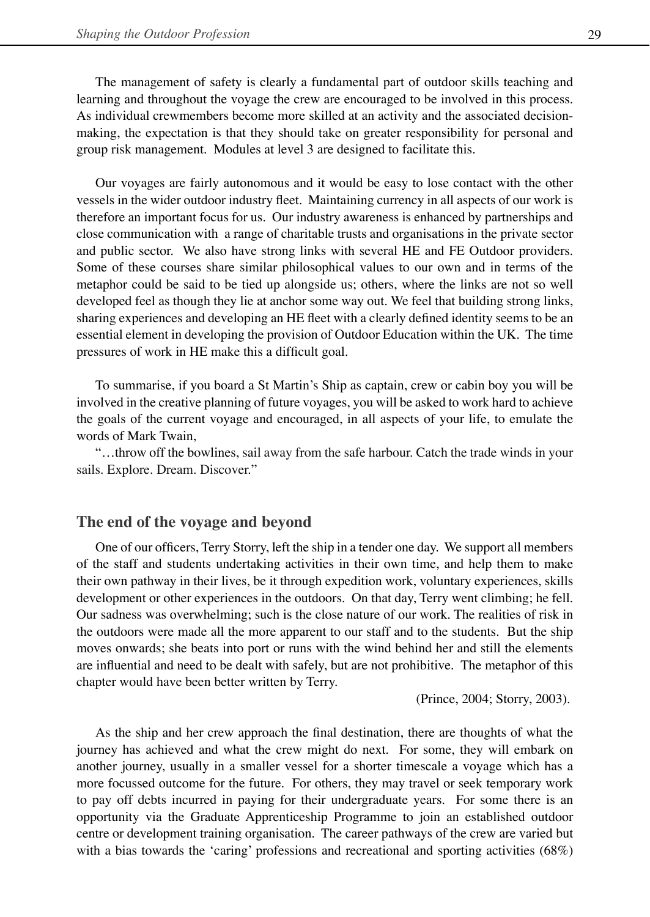The management of safety is clearly a fundamental part of outdoor skills teaching and learning and throughout the voyage the crew are encouraged to be involved in this process. As individual crewmembers become more skilled at an activity and the associated decisionmaking, the expectation is that they should take on greater responsibility for personal and group risk management. Modules at level 3 are designed to facilitate this.

Our voyages are fairly autonomous and it would be easy to lose contact with the other vessels in the wider outdoor industry fleet. Maintaining currency in all aspects of our work is therefore an important focus for us. Our industry awareness is enhanced by partnerships and close communication with a range of charitable trusts and organisations in the private sector and public sector. We also have strong links with several HE and FE Outdoor providers. Some of these courses share similar philosophical values to our own and in terms of the metaphor could be said to be tied up alongside us; others, where the links are not so well developed feel as though they lie at anchor some way out. We feel that building strong links, sharing experiences and developing an HE fleet with a clearly defined identity seems to be an essential element in developing the provision of Outdoor Education within the UK. The time pressures of work in HE make this a difficult goal.

To summarise, if you board a St Martin's Ship as captain, crew or cabin boy you will be involved in the creative planning of future voyages, you will be asked to work hard to achieve the goals of the current voyage and encouraged, in all aspects of your life, to emulate the words of Mark Twain,

"…throw off the bowlines, sail away from the safe harbour. Catch the trade winds in your sails. Explore. Dream. Discover."

#### **The end of the voyage and beyond**

One of our officers, Terry Storry, left the ship in a tender one day. We support all members of the staff and students undertaking activities in their own time, and help them to make their own pathway in their lives, be it through expedition work, voluntary experiences, skills development or other experiences in the outdoors. On that day, Terry went climbing; he fell. Our sadness was overwhelming; such is the close nature of our work. The realities of risk in the outdoors were made all the more apparent to our staff and to the students. But the ship moves onwards; she beats into port or runs with the wind behind her and still the elements are influential and need to be dealt with safely, but are not prohibitive. The metaphor of this chapter would have been better written by Terry.

(Prince, 2004; Storry, 2003).

As the ship and her crew approach the final destination, there are thoughts of what the journey has achieved and what the crew might do next. For some, they will embark on another journey, usually in a smaller vessel for a shorter timescale a voyage which has a more focussed outcome for the future. For others, they may travel or seek temporary work to pay off debts incurred in paying for their undergraduate years. For some there is an opportunity via the Graduate Apprenticeship Programme to join an established outdoor centre or development training organisation. The career pathways of the crew are varied but with a bias towards the ʻcaring' professions and recreational and sporting activities (68%)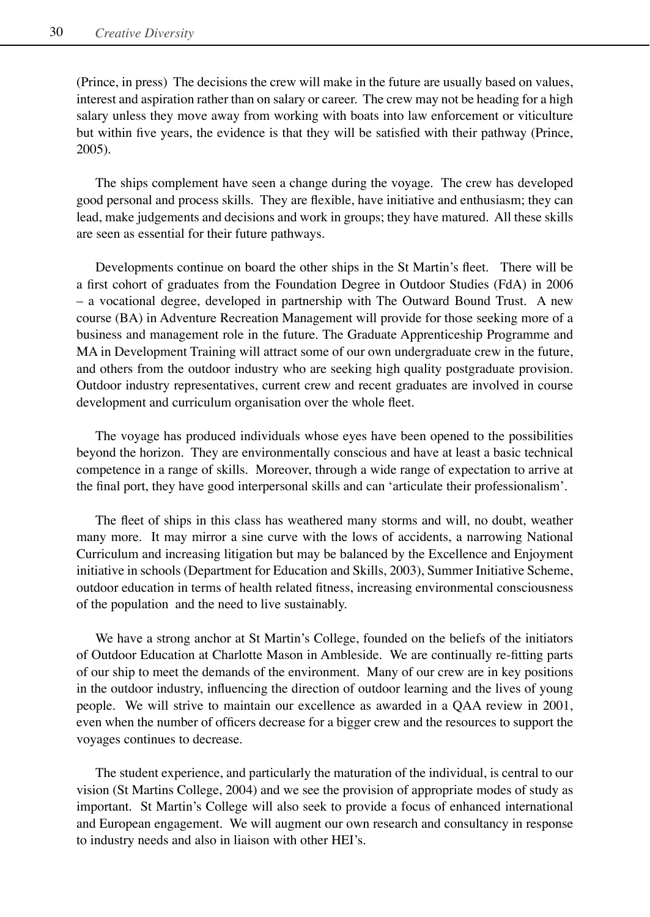(Prince, in press) The decisions the crew will make in the future are usually based on values, interest and aspiration rather than on salary or career. The crew may not be heading for a high salary unless they move away from working with boats into law enforcement or viticulture but within five years, the evidence is that they will be satisfied with their pathway (Prince, 2005).

The ships complement have seen a change during the voyage. The crew has developed good personal and process skills. They are flexible, have initiative and enthusiasm; they can lead, make judgements and decisions and work in groups; they have matured. All these skills are seen as essential for their future pathways.

Developments continue on board the other ships in the St Martin's fleet. There will be a first cohort of graduates from the Foundation Degree in Outdoor Studies (FdA) in 2006 – a vocational degree, developed in partnership with The Outward Bound Trust. A new course (BA) in Adventure Recreation Management will provide for those seeking more of a business and management role in the future. The Graduate Apprenticeship Programme and MA in Development Training will attract some of our own undergraduate crew in the future, and others from the outdoor industry who are seeking high quality postgraduate provision. Outdoor industry representatives, current crew and recent graduates are involved in course development and curriculum organisation over the whole fleet.

The voyage has produced individuals whose eyes have been opened to the possibilities beyond the horizon. They are environmentally conscious and have at least a basic technical competence in a range of skills. Moreover, through a wide range of expectation to arrive at the final port, they have good interpersonal skills and can ʻarticulate their professionalism'.

The fleet of ships in this class has weathered many storms and will, no doubt, weather many more. It may mirror a sine curve with the lows of accidents, a narrowing National Curriculum and increasing litigation but may be balanced by the Excellence and Enjoyment initiative in schools (Department for Education and Skills, 2003), Summer Initiative Scheme, outdoor education in terms of health related fitness, increasing environmental consciousness of the population and the need to live sustainably.

We have a strong anchor at St Martin's College, founded on the beliefs of the initiators of Outdoor Education at Charlotte Mason in Ambleside. We are continually re-fitting parts of our ship to meet the demands of the environment. Many of our crew are in key positions in the outdoor industry, influencing the direction of outdoor learning and the lives of young people. We will strive to maintain our excellence as awarded in a QAA review in 2001, even when the number of officers decrease for a bigger crew and the resources to support the voyages continues to decrease.

The student experience, and particularly the maturation of the individual, is central to our vision (St Martins College, 2004) and we see the provision of appropriate modes of study as important. St Martin's College will also seek to provide a focus of enhanced international and European engagement. We will augment our own research and consultancy in response to industry needs and also in liaison with other HEI's.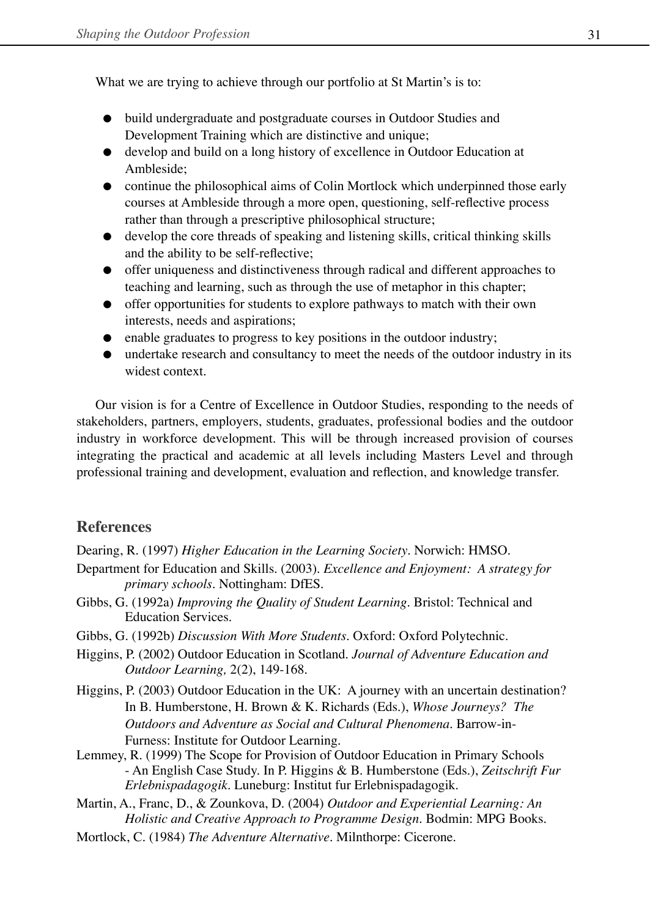What we are trying to achieve through our portfolio at St Martin's is to:

- build undergraduate and postgraduate courses in Outdoor Studies and Development Training which are distinctive and unique;
- **develop and build on a long history of excellence in Outdoor Education at** Ambleside;
- continue the philosophical aims of Colin Mortlock which underpinned those early courses at Ambleside through a more open, questioning, self-reflective process rather than through a prescriptive philosophical structure;
- develop the core threads of speaking and listening skills, critical thinking skills and the ability to be self-reflective;
- offer uniqueness and distinctiveness through radical and different approaches to teaching and learning, such as through the use of metaphor in this chapter;
- offer opportunities for students to explore pathways to match with their own interests, needs and aspirations;
- enable graduates to progress to key positions in the outdoor industry;
- undertake research and consultancy to meet the needs of the outdoor industry in its widest context.

Our vision is for a Centre of Excellence in Outdoor Studies, responding to the needs of stakeholders, partners, employers, students, graduates, professional bodies and the outdoor industry in workforce development. This will be through increased provision of courses integrating the practical and academic at all levels including Masters Level and through professional training and development, evaluation and reflection, and knowledge transfer.

# **References**

Dearing, R. (1997) *Higher Education in the Learning Society*. Norwich: HMSO.

- Department for Education and Skills. (2003). *Excellence and Enjoyment: A strategy for primary schools*. Nottingham: DfES.
- Gibbs, G. (1992a) *Improving the Quality of Student Learning*. Bristol: Technical and Education Services.
- Gibbs, G. (1992b) *Discussion With More Students*. Oxford: Oxford Polytechnic.
- Higgins, P. (2002) Outdoor Education in Scotland. *Journal of Adventure Education and Outdoor Learning,* 2(2), 149-168.
- Higgins, P. (2003) Outdoor Education in the UK: A journey with an uncertain destination? In B. Humberstone, H. Brown & K. Richards (Eds.), *Whose Journeys? The Outdoors and Adventure as Social and Cultural Phenomena*. Barrow-in- Furness: Institute for Outdoor Learning.
- Lemmey, R. (1999) The Scope for Provision of Outdoor Education in Primary Schools - An English Case Study. In P. Higgins & B. Humberstone (Eds.), *Zeitschrift Fur Erlebnispadagogik*. Luneburg: Institut fur Erlebnispadagogik.
- Martin, A., Franc, D., & Zounkova, D. (2004) *Outdoor and Experiential Learning: An Holistic and Creative Approach to Programme Design*. Bodmin: MPG Books.
- Mortlock, C. (1984) *The Adventure Alternative*. Milnthorpe: Cicerone.